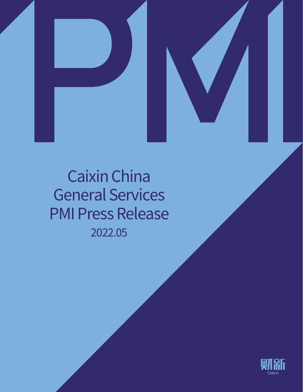



# 2022.05 Caixin China General Services PMI Press Release

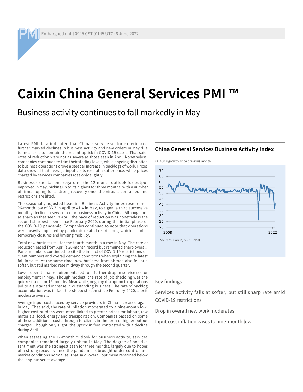Embargoed until 0945 CST (0145 UTC) 6 June 2022

### **Caixin China General Services PMI ™**

Business activity continues to fall markedly in May

Latest PMI data indicated that China's service sector experienced further marked declines in business activity and new orders in May due to measures to contain the recent uptick in COVID-19 cases. That said, rates of reduction were not as severe as those seen in April. Nonetheless, companies continued to trim their staffing levels, while ongoing disruption to business operations drove a steeper increase in backlogs of work. Prices data showed that average input costs rose at a softer pace, while prices charged by services companies rose only slightly.

Business expectations regarding the 12-month outlook for output improved in May, picking up to its highest for three months, with a number of firms hoping for a strong recovery once the virus is contained and restrictions are lifted.

The seasonally adjusted headline Business Activity Index rose from a 26-month low of 36.2 in April to 41.4 in May, to signal a third successive monthly decline in service sector business activity in China. Although not as sharp as that seen in April, the pace of reduction was nonetheless the second-sharpest seen since February 2020, during the initial phase of the COVID-19 pandemic. Companies continued to note that operations were heavily impacted by pandemic-related restrictions, which included temporary closures and limiting mobility.

Total new business fell for the fourth month in a row in May. The rate of reduction eased from April's 26-month record but remained sharp overall. Panel members continued to cite the impact of COVID-19 restrictions on client numbers and overall demand conditions when explaining the latest fall in sales. At the same time, new business from abroad also fell at a softer, but still marked rate midway through the second quarter.

Lower operational requirements led to a further drop in service sector employment in May. Though modest, the rate of job shedding was the quickest seen for 15 months. Meanwhile, ongoing disruption to operations led to a sustained increase in outstanding business. The rate of backlog accumulation was in fact the steepest seen since February 2020, albeit moderate overall.

Average input costs faced by service providers in China increased again in May. That said, the rate of inflation moderated to a nine-month low. Higher cost burdens were often linked to greater prices for labour, raw materials, food, energy and transportation. Companies passed on some of these additional costs through to clients in the form of higher output charges. Though only slight, the uptick in fees contrasted with a decline during April.

When assessing the 12-month outlook for business activity, services companies remained largely upbeat in May. The degree of positive sentiment was the strongest seen for three months, largely due to hopes of a strong recovery once the pandemic is brought under control and market conditions normalise. That said, overall optimism remained below the long-run series average.

#### **China General Services Business Activity Index**

 $sa$ ,  $>50$  = growth since previous month



#### Key findings:

Services activity falls at softer, but still sharp rate amid COVID-19 restrictions

Drop in overall new work moderates

Input cost inflation eases to nine-month low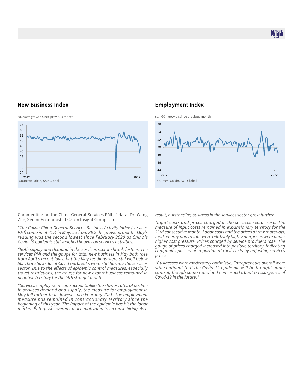则乱

#### **New Business Index**



#### **Employment Index**



Commenting on the China General Services PMI ™ data, Dr. Wang Zhe, Senior Economist at Caixin Insight Group said:

*"The Caixin China General Services Business Activity Index (services PMI) came in at 41.4 in May, up from 36.2 the previous month. May's reading was the second lowest since February 2020 as China's Covid-19 epidemic still weighed heavily on services activities.* 

*"Both supply and demand in the services sector shrank further. The services PMI and the gauge for total new business in May both rose from April's recent lows, but the May readings were still well below 50. That shows local Covid outbreaks were still hurting the services sector. Due to the effects of epidemic control measures, especially travel restrictions, the gauge for new export business remained in negative territory for the fifth straight month.*

*"Services employment contracted. Unlike the slower rates of decline in services demand and supply, the measure for employment in May fell further to its lowest since February 2021. The employment measure has remained in contractionary territory since the beginning of this year. The impact of the epidemic has hit the labor market. Enterprises weren't much motivated to increase hiring. As a* 

*result, outstanding business in the services sector grew further.*

*"Input costs and prices charged in the services sector rose. The measure of input costs remained in expansionary territory for the 23rd consecutive month. Labor costs and the prices of raw materials, food, energy and freight were relatively high. Enterprises were under higher cost pressure. Prices charged by service providers rose. The gauge of prices charged increased into positive territory, indicating companies passed on a portion of their costs by adjusting services prices.* 

*"Businesses were moderately optimistic. Entrepreneurs overall were still confident that the Covid-19 epidemic will be brought under control, though some remained concerned about a resurgence of Covid-19 in the future."*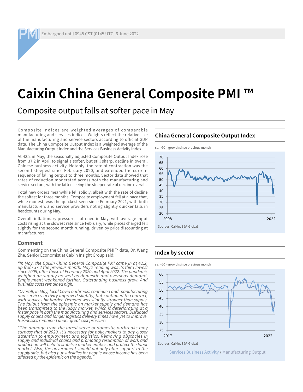Embargoed until 0945 CST (0145 UTC) 6 June 2022

## **Caixin China General Composite PMI**

Composite output falls at softer pace in May

Composite indices are weighted averages of comparable manufacturing and services indices. Weights reflect the relative size of the manufacturing and service sectors according to official GDP data. The China Composite Output Index is a weighted average of the Manufacturing Output Index and the Services Business Activity Index.

At 42.2 in May, the seasonally adjusted Composite Output Index rose from 37.2 in April to signal a softer, but still sharp, decline in overall Chinese business activity. Notably, the rate of contraction was the second-steepest since February 2020, and extended the current sequence of falling output to three months. Sector data showed that rates of reduction moderated across both the manufacturing and service sectors, with the latter seeing the steeper rate of decline overall.

Total new orders meanwhile fell solidly, albeit with the rate of decline the softest for three months. Composite employment fell at a pace that, while modest, was the quickest seen since February 2021, with both manufacturers and service providers noting slightly quicker falls in headcounts during May.

Overall, inflationary pressures softened in May, with average input costs rising at the slowest rate since February, while prices charged fell slightly for the second month running, driven by price discounting at manufacturers.

#### **Comment**

Commenting on the China General Composite PMI ™ data, Dr. Wang Zhe, Senior Economist at Caixin Insight Group said:

*"In May, the Caixin China General Composite PMI came in at 42.2, up from 37.2 the previous month. May's reading was its third lowest since 2005, after those of February 2020 and April 2022. The pandemic weighed on supply as well as domestic and overseas demand. Employment weakened further. Outstanding business grew. And business costs remained high.*

*"Overall, in May, local Covid outbreaks continued and manufacturing and services activity improved slightly, but continued to contract, with services hit harder. Demand was slightly stronger than supply. The fallout from the epidemic on market supply and demand has been transmitted to the labor market, which is deteriorating at a faster pace in both the manufacturing and services sectors. Disrupted supply chains and longer logistics delivery times have yet to improve. Businesses remained under great cost pressure.* 

*"The damage from the latest wave of domestic outbreaks may surpass that of 2020. It's necessary for policymakers to pay closer attention to employment and logistics. Removing obstacles in supply and industrial chains and promoting resumption of work and production will help to stabilize market entities and protect the labor market. Also, the government should not only offer support to the supply side, but also put subsidies for people whose income has been affected by the epidemic on the agenda."*



### **China General Composite Output Index**

**Index by sector**

 $sa$ ,  $>50$  = growth since previous month





Services Business Activity / Manufacturing Output